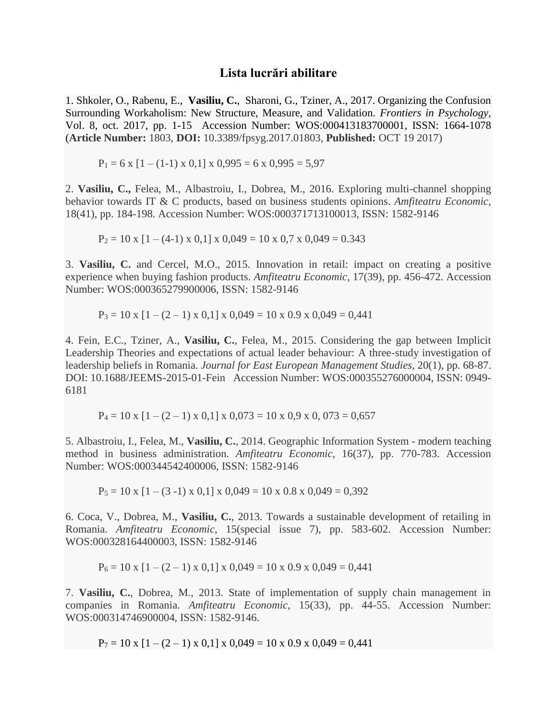## **Lista lucrări abilitare**

1. Shkoler, O., Rabenu, E., **Vasiliu, C.**, Sharoni, G., Tziner, A., 2017. Organizing the Confusion Surrounding Workaholism: New Structure, Measure, and Validation. *Frontiers in Psychology*, Vol. 8, oct. 2017, pp. 1-15 Accession Number: WOS:000413183700001, ISSN: 1664-1078 (**Article Number:** 1803, **DOI:** 10.3389/fpsyg.2017.01803, **Published:** OCT 19 2017)

 $P_1 = 6 \times [1 - (1-1) \times 0, 1] \times 0,995 = 6 \times 0,995 = 5,97$ 

2. **Vasiliu, C.,** Felea, M., Albastroiu, I., Dobrea, M., 2016. Exploring multi-channel shopping behavior towards IT & C products, based on business students opinions. *Amfiteatru Economic*, 18(41), pp. 184-198. Accession Number: WOS:000371713100013, ISSN: 1582-9146

 $P_2 = 10 \times [1 - (4-1) \times 0, 1] \times 0,049 = 10 \times 0,7 \times 0,049 = 0.343$ 

3. **Vasiliu, C.** and Cercel, M.O., 2015. Innovation in retail: impact on creating a positive experience when buying fashion products. *Amfiteatru Economic*, 17(39), pp. 456-472. Accession Number: WOS:000365279900006, ISSN: 1582-9146

 $P_3 = 10 \times [1 - (2 - 1) \times 0.1] \times 0.049 = 10 \times 0.9 \times 0.049 = 0.441$ 

4. Fein, E.C., Tziner, A., **Vasiliu, C.**, Felea, M., 2015. Considering the gap between Implicit Leadership Theories and expectations of actual leader behaviour: A three-study investigation of leadership beliefs in Romania. *Journal for East European Management Studies*, 20(1), pp. 68-87. DOI: 10.1688/JEEMS-2015-01-Fein Accession Number: WOS:000355276000004, ISSN: 0949- 6181

 $P_4 = 10 \times [1 - (2 - 1) \times 0.1] \times 0.073 = 10 \times 0.9 \times 0.073 = 0.657$ 

5. Albastroiu, I., Felea, M., **Vasiliu, C.**, 2014. Geographic Information System - modern teaching method in business administration. *Amfiteatru Economic*, 16(37), pp. 770-783. Accession Number: WOS:000344542400006, ISSN: 1582-9146

 $P_5 = 10 \times [1 - (3 - 1) \times 0.1] \times 0.049 = 10 \times 0.8 \times 0.049 = 0.392$ 

6. Coca, V., Dobrea, M., **Vasiliu, C.**, 2013. Towards a sustainable development of retailing in Romania. *Amfiteatru Economic*, 15(special issue 7), pp. 583-602. Accession Number: WOS:000328164400003, ISSN: 1582-9146

 $P_6 = 10 \times [1 - (2 - 1) \times 0.1] \times 0.049 = 10 \times 0.9 \times 0.049 = 0.441$ 

7. **Vasiliu, C.**, Dobrea, M., 2013. State of implementation of supply chain management in companies in Romania. *Amfiteatru Economic*, 15(33), pp. 44-55. Accession Number: WOS:000314746900004, ISSN: 1582-9146.

 $P_7 = 10 \times [1 - (2 - 1) \times 0.1] \times 0.049 = 10 \times 0.9 \times 0.049 = 0.441$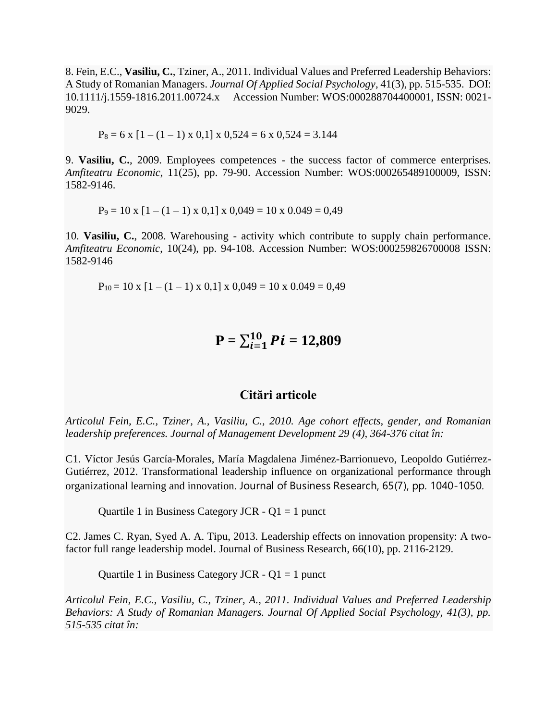8. Fein, E.C., **Vasiliu, C.**, Tziner, A., 2011. Individual Values and Preferred Leadership Behaviors: A Study of Romanian Managers. *Journal Of Applied Social Psychology*, 41(3), pp. 515-535. DOI: 10.1111/j.1559-1816.2011.00724.x Accession Number: WOS:000288704400001, ISSN: 0021- 9029.

$$
P_8 = 6 \times [1 - (1 - 1) \times 0, 1] \times 0,524 = 6 \times 0,524 = 3.144
$$

9. **Vasiliu, C.**, 2009. Employees competences - the success factor of commerce enterprises. *Amfiteatru Economic*, 11(25), pp. 79-90. Accession Number: WOS:000265489100009, ISSN: 1582-9146.

 $P_9 = 10 \times [1 - (1 - 1) \times 0.1] \times 0.049 = 10 \times 0.049 = 0.49$ 

10. **Vasiliu, C.**, 2008. Warehousing - activity which contribute to supply chain performance. *Amfiteatru Economic*, 10(24), pp. 94-108. Accession Number: WOS:000259826700008 ISSN: 1582-9146

 $P_{10} = 10 \times [1 - (1 - 1) \times 0.1] \times 0.049 = 10 \times 0.049 = 0.49$ 

$$
P = \sum_{i=1}^{10} Pi = 12,809
$$

## **Citări articole**

*Articolul Fein, E.C., Tziner, A., Vasiliu, C., 2010. Age cohort effects, gender, and Romanian leadership preferences. Journal of Management Development 29 (4), 364-376 citat în:*

C1. Víctor Jesús García-Morales, María Magdalena Jiménez-Barrionuevo, Leopoldo Gutiérrez-Gutiérrez, 2012. Transformational leadership influence on organizational performance through organizational learning and innovation. Journal of Business Research, 65(7), pp. 1040-1050.

Quartile 1 in Business Category JCR -  $Q1 = 1$  punct

C2. James C. Ryan, Syed A. A. Tipu, 2013. Leadership effects on innovation propensity: A twofactor full range leadership model. Journal of Business Research, 66(10), pp. 2116-2129.

Quartile 1 in Business Category JCR  $-$  Q1 = 1 punct

*Articolul Fein, E.C., Vasiliu, C., Tziner, A., 2011. Individual Values and Preferred Leadership Behaviors: A Study of Romanian Managers. Journal Of Applied Social Psychology, 41(3), pp. 515-535 citat în:*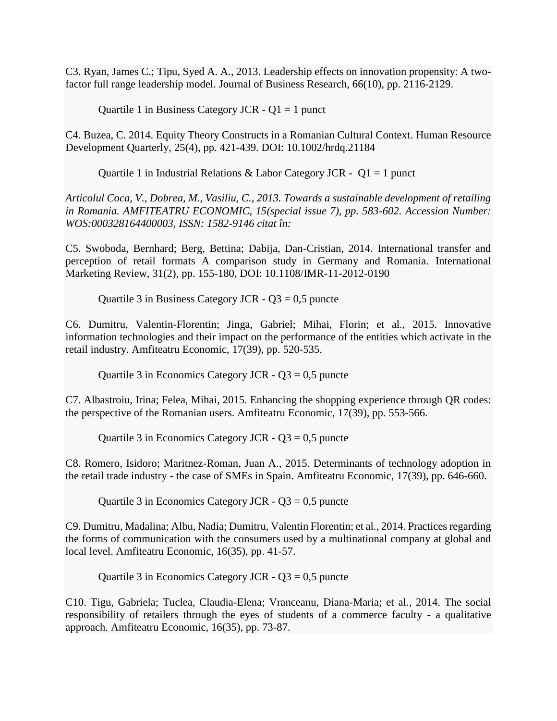C3. Ryan, James C.; Tipu, Syed A. A., 2013. Leadership effects on innovation propensity: A twofactor full range leadership model. Journal of Business Research, 66(10), pp. 2116-2129.

Quartile 1 in Business Category JCR  $-$  Q1 = 1 punct

C4. Buzea, C. 2014. Equity Theory Constructs in a Romanian Cultural Context. Human Resource Development Quarterly, 25(4), pp. 421-439. DOI: 10.1002/hrdq.21184

Quartile 1 in Industrial Relations & Labor Category JCR -  $Q1 = 1$  punct

*Articolul Coca, V., Dobrea, M., Vasiliu, C., 2013. Towards a sustainable development of retailing in Romania. AMFITEATRU ECONOMIC, 15(special issue 7), pp. 583-602. Accession Number: WOS:000328164400003, ISSN: 1582-9146 citat în:*

C5. Swoboda, Bernhard; Berg, Bettina; Dabija, Dan-Cristian, 2014. International transfer and perception of retail formats A comparison study in Germany and Romania. International Marketing Review, 31(2), pp. 155-180, DOI: 10.1108/IMR-11-2012-0190

Quartile 3 in Business Category JCR -  $Q3 = 0.5$  puncte

C6. Dumitru, Valentin-Florentin; Jinga, Gabriel; Mihai, Florin; et al., 2015. Innovative information technologies and their impact on the performance of the entities which activate in the retail industry. Amfiteatru Economic, 17(39), pp. 520-535.

Quartile 3 in Economics Category JCR -  $Q3 = 0.5$  puncte

C7. Albastroiu, Irina; Felea, Mihai, 2015. Enhancing the shopping experience through QR codes: the perspective of the Romanian users. Amfiteatru Economic, 17(39), pp. 553-566.

Quartile 3 in Economics Category JCR -  $Q3 = 0.5$  puncte

C8. Romero, Isidoro; Maritnez-Roman, Juan A., 2015. Determinants of technology adoption in the retail trade industry - the case of SMEs in Spain. Amfiteatru Economic, 17(39), pp. 646-660.

Quartile 3 in Economics Category JCR -  $Q3 = 0.5$  puncte

C9. Dumitru, Madalina; Albu, Nadia; Dumitru, Valentin Florentin; et al., 2014. Practices regarding the forms of communication with the consumers used by a multinational company at global and local level. Amfiteatru Economic, 16(35), pp. 41-57.

Quartile 3 in Economics Category JCR -  $Q3 = 0.5$  puncte

C10. Tigu, Gabriela; Tuclea, Claudia-Elena; Vranceanu, Diana-Maria; et al., 2014. The social responsibility of retailers through the eyes of students of a commerce faculty - a qualitative approach. Amfiteatru Economic, 16(35), pp. 73-87.